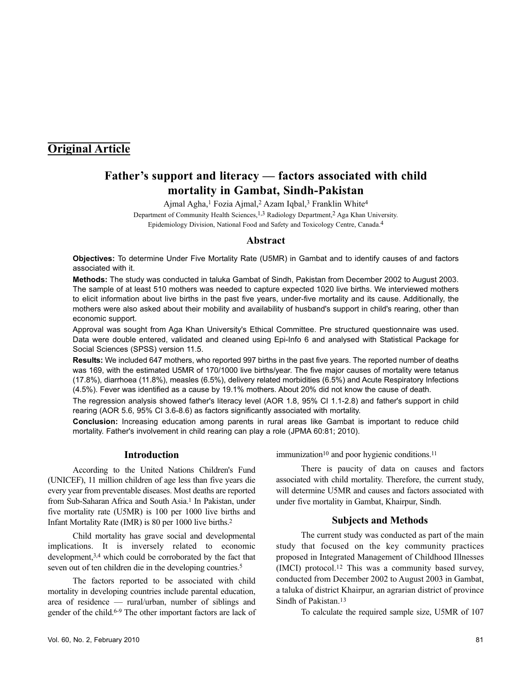## **Original Article**

# **Father's support and literacy — factors associated with child mortality in Gambat, Sindh-Pakistan**

Ajmal Agha,<sup>1</sup> Fozia Ajmal,<sup>2</sup> Azam Iqbal,<sup>3</sup> Franklin White<sup>4</sup>

Department of Community Health Sciences,<sup>1,3</sup> Radiology Department,<sup>2</sup> Aga Khan University. Epidemiology Division, National Food and Safety and Toxicology Centre, Canada.4

#### **Abstract**

**Objectives:** To determine Under Five Mortality Rate (U5MR) in Gambat and to identify causes of and factors associated with it.

**Methods:** The study was conducted in taluka Gambat of Sindh, Pakistan from December 2002 to August 2003. The sample of at least 510 mothers was needed to capture expected 1020 live births. We interviewed mothers to elicit information about live births in the past five years, under-five mortality and its cause. Additionally, the mothers were also asked about their mobility and availability of husband's support in child's rearing, other than economic support.

Approval was sought from Aga Khan University's Ethical Committee. Pre structured questionnaire was used. Data were double entered, validated and cleaned using Epi-Info 6 and analysed with Statistical Package for Social Sciences (SPSS) version 11.5.

**Results:** We included 647 mothers, who reported 997 births in the past five years. The reported number of deaths was 169, with the estimated U5MR of 170/1000 live births/year. The five major causes of mortality were tetanus (17.8%), diarrhoea (11.8%), measles (6.5%), delivery related morbidities (6.5%) and Acute Respiratory Infections (4.5%). Fever was identified as a cause by 19.1% mothers. About 20% did not know the cause of death.

The regression analysis showed father's literacy level (AOR 1.8, 95% CI 1.1-2.8) and father's support in child rearing (AOR 5.6, 95% CI 3.6-8.6) as factors significantly associated with mortality.

**Conclusion:** Increasing education among parents in rural areas like Gambat is important to reduce child mortality. Father's involvement in child rearing can play a role (JPMA 60:81; 2010).

### **Introduction**

According to the United Nations Children's Fund (UNICEF), 11 million children of age less than five years die every year from preventable diseases. Most deaths are reported from Sub-Saharan Africa and South Asia.<sup>1</sup> In Pakistan, under five mortality rate (U5MR) is 100 per 1000 live births and Infant Mortality Rate (IMR) is 80 per 1000 live births.<sup>2</sup>

Child mortality has grave social and developmental implications. It is inversely related to economic development,<sup>3,4</sup> which could be corroborated by the fact that seven out of ten children die in the developing countries.<sup>5</sup>

The factors reported to be associated with child mortality in developing countries include parental education, area of residence — rural/urban, number of siblings and gender of the child.6-9 The other important factors are lack of immunization<sup>10</sup> and poor hygienic conditions.<sup>11</sup>

There is paucity of data on causes and factors associated with child mortality. Therefore, the current study, will determine U5MR and causes and factors associated with under five mortality in Gambat, Khairpur, Sindh.

## **Subjects and Methods**

The current study was conducted as part of the main study that focused on the key community practices proposed in Integrated Management of Childhood Illnesses (IMCI) protocol.<sup>12</sup> This was a community based survey, conducted from December 2002 to August 2003 in Gambat, a taluka of district Khairpur, an agrarian district of province Sindh of Pakistan.<sup>13</sup>

To calculate the required sample size, U5MR of 107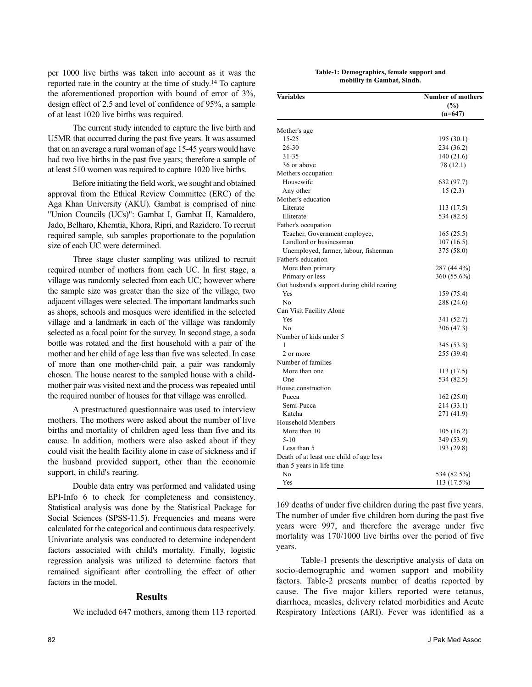per 1000 live births was taken into account as it was the reported rate in the country at the time of study.<sup>14</sup> To capture the aforementioned proportion with bound of error of 3%, design effect of 2.5 and level of confidence of 95%, a sample of at least 1020 live births was required.

The current study intended to capture the live birth and U5MR that occurred during the past five years. It was assumed that on an average a rural woman of age 15-45 years would have had two live births in the past five years; therefore a sample of at least 510 women was required to capture 1020 live births.

Before initiating the field work, we sought and obtained approval from the Ethical Review Committee (ERC) of the Aga Khan University (AKU). Gambat is comprised of nine "Union Councils (UCs)": Gambat I, Gambat II, Kamaldero, Jado, Belharo, Khemtia, Khora, Ripri, and Razidero. To recruit required sample, sub samples proportionate to the population size of each UC were determined.

Three stage cluster sampling was utilized to recruit required number of mothers from each UC. In first stage, a village was randomly selected from each UC; however where the sample size was greater than the size of the village, two adjacent villages were selected. The important landmarks such as shops, schools and mosques were identified in the selected village and a landmark in each of the village was randomly selected as a focal point for the survey. In second stage, a soda bottle was rotated and the first household with a pair of the mother and her child of age less than five was selected. In case of more than one mother-child pair, a pair was randomly chosen. The house nearest to the sampled house with a childmother pair was visited next and the process was repeated until the required number of houses for that village was enrolled.

A prestructured questionnaire was used to interview mothers. The mothers were asked about the number of live births and mortality of children aged less than five and its cause. In addition, mothers were also asked about if they could visit the health facility alone in case of sickness and if the husband provided support, other than the economic support, in child's rearing.

Double data entry was performed and validated using EPI-Info 6 to check for completeness and consistency. Statistical analysis was done by the Statistical Package for Social Sciences (SPSS-11.5). Frequencies and means were calculated for the categorical and continuous data respectively. Univariate analysis was conducted to determine independent factors associated with child's mortality. Finally, logistic regression analysis was utilized to determine factors that remained significant after controlling the effect of other factors in the model.

#### **Results**

We included 647 mothers, among them 113 reported

| Mother's age                               |             |
|--------------------------------------------|-------------|
| 15-25                                      | 195 (30.1)  |
| 26-30                                      | 234 (36.2)  |
| 31-35                                      | 140 (21.6)  |
| 36 or above                                | 78 (12.1)   |
| Mothers occupation                         |             |
| Housewife                                  | 632 (97.7)  |
| Any other                                  | 15(2.3)     |
| Mother's education                         |             |
| Literate                                   | 113 (17.5)  |
| Illiterate                                 | 534 (82.5)  |
| Father's occupation                        |             |
| Teacher, Government employee,              | 165(25.5)   |
| Landlord or businessman                    | 107(16.5)   |
| Unemployed, farmer, labour, fisherman      | 375 (58.0)  |
| Father's education                         |             |
| More than primary                          | 287 (44.4%) |
| Primary or less                            | 360 (55.6%) |
| Got husband's support during child rearing |             |
| Yes                                        | 159 (75.4)  |
| No                                         | 288 (24.6)  |
| Can Visit Facility Alone                   |             |
| Yes                                        | 341 (52.7)  |
| N <sub>0</sub>                             | 306 (47.3)  |
| Number of kids under 5                     |             |
| 1                                          | 345 (53.3)  |
| 2 or more                                  | 255 (39.4)  |
| Number of families                         |             |
| More than one                              | 113 (17.5)  |
| One                                        | 534 (82.5)  |
| House construction                         |             |
| Pucca                                      | 162(25.0)   |
| Semi-Pucca                                 | 214 (33.1)  |
| Katcha                                     | 271 (41.9)  |
| <b>Household Members</b>                   |             |
| More than 10                               | 105 (16.2)  |
| $5-10$                                     | 349 (53.9)  |
| Less than 5                                | 193 (29.8)  |
| Death of at least one child of age less    |             |
| than 5 years in life time                  |             |
| No                                         | 534 (82.5%) |
| Yes                                        | 113 (17.5%) |
|                                            |             |

| Table-1: Demographics, female support and |  |
|-------------------------------------------|--|
| mobility in Gambat, Sindh.                |  |

**Variables Number of mothers**

**(%) (n=647)**

The number of under five children born during the past five years were 997, and therefore the average under five mortality was 170/1000 live births over the period of five years.

Table-1 presents the descriptive analysis of data on socio-demographic and women support and mobility factors. Table-2 presents number of deaths reported by cause. The five major killers reported were tetanus, diarrhoea, measles, delivery related morbidities and Acute Respiratory Infections (ARI). Fever was identified as a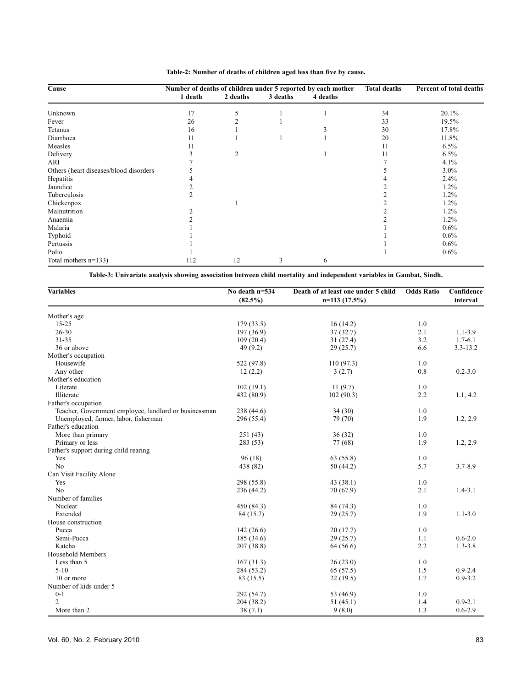| Cause                                  | Number of deaths of children under 5 reported by each mother |          |          |          | <b>Total deaths</b> | Percent of total deaths |  |
|----------------------------------------|--------------------------------------------------------------|----------|----------|----------|---------------------|-------------------------|--|
|                                        | 1 death                                                      | 2 deaths | 3 deaths | 4 deaths |                     |                         |  |
| Unknown                                | 17                                                           | 5        |          |          | 34                  | 20.1%                   |  |
| Fever                                  | 26                                                           |          |          |          | 33                  | 19.5%                   |  |
| Tetanus                                | 16                                                           |          |          |          | 30                  | 17.8%                   |  |
| Diarrhoea                              | 11                                                           |          |          |          | 20                  | 11.8%                   |  |
| Measles                                | 11                                                           |          |          |          | 11                  | 6.5%                    |  |
| Delivery                               |                                                              | 2        |          |          | 11                  | 6.5%                    |  |
| ARI                                    |                                                              |          |          |          |                     | 4.1%                    |  |
| Others (heart diseases/blood disorders |                                                              |          |          |          |                     | 3.0%                    |  |
| Hepatitis                              |                                                              |          |          |          |                     | 2.4%                    |  |
| Jaundice                               |                                                              |          |          |          |                     | $1.2\%$                 |  |
| Tuberculosis                           | 2                                                            |          |          |          |                     | $1.2\%$                 |  |
| Chickenpox                             |                                                              |          |          |          |                     | 1.2%                    |  |
| Malnutrition                           |                                                              |          |          |          |                     | $1.2\%$                 |  |
| Anaemia                                |                                                              |          |          |          |                     | $1.2\%$                 |  |
| Malaria                                |                                                              |          |          |          |                     | 0.6%                    |  |
| Typhoid                                |                                                              |          |          |          |                     | $0.6\%$                 |  |
| Pertussis                              |                                                              |          |          |          |                     | $0.6\%$                 |  |
| Polio                                  |                                                              |          |          |          |                     | $0.6\%$                 |  |
| Total mothers $n=133$ )                | 112                                                          | 12       | 3        | 6        |                     |                         |  |

**Table-2: Number of deaths of children aged less than five by cause.**

**Table-3: Univariate analysis showing association between child mortality and independent variables in Gambat, Sindh.**

| <b>Variables</b>                                      | No death n=534<br>$(82.5\%)$ | Death of at least one under 5 child<br>$n=113(17.5%)$ | <b>Odds Ratio</b> | Confidence<br>interval |
|-------------------------------------------------------|------------------------------|-------------------------------------------------------|-------------------|------------------------|
| Mother's age                                          |                              |                                                       |                   |                        |
| $15 - 25$                                             | 179 (33.5)                   | 16(14.2)                                              | 1.0               |                        |
| 26-30                                                 | 197 (36.9)                   | 37(32.7)                                              | 2.1               | $1.1 - 3.9$            |
| $31 - 35$                                             | 109(20.4)                    | 31(27.4)                                              | 3.2               | $1.7 - 6.1$            |
| 36 or above                                           | 49(9.2)                      | 29(25.7)                                              | 6.6               | $3.3 - 13.2$           |
| Mother's occupation                                   |                              |                                                       |                   |                        |
| Housewife                                             | 522 (97.8)                   | 110(97.3)                                             | 1.0               |                        |
| Any other                                             | 12(2.2)                      | 3(2.7)                                                | 0.8               | $0.2 - 3.0$            |
| Mother's education                                    |                              |                                                       |                   |                        |
| Literate                                              | 102(19.1)                    | 11(9.7)                                               | 1.0               |                        |
| Illiterate                                            | 432 (80.9)                   | 102(90.3)                                             | 2.2               | 1.1, 4.2               |
| Father's occupation                                   |                              |                                                       |                   |                        |
| Teacher, Government employee, landlord or businessman | 238 (44.6)                   | 34(30)                                                | 1.0               |                        |
| Unemployed, farmer, labor, fisherman                  | 296 (55.4)                   | 79 (70)                                               | 1.9               | 1.2, 2.9               |
| Father's education                                    |                              |                                                       |                   |                        |
| More than primary                                     | 251 (43)                     | 36(32)                                                | 1.0               |                        |
| Primary or less                                       | 283 (53)                     | 77 (68)                                               | 1.9               | 1.2, 2.9               |
| Father's support during child rearing                 |                              |                                                       |                   |                        |
| Yes                                                   | 96(18)                       | 63 (55.8)                                             | 1.0               |                        |
| N <sub>o</sub>                                        | 438 (82)                     | 50 (44.2)                                             | 5.7               | $3.7 - 8.9$            |
| Can Visit Facility Alone                              |                              |                                                       |                   |                        |
| Yes                                                   | 298 (55.8)                   | 43(38.1)                                              | 1.0               |                        |
| N <sub>0</sub>                                        | 236 (44.2)                   | 70 (67.9)                                             | 2.1               | $1.4 - 3.1$            |
| Number of families                                    |                              |                                                       |                   |                        |
| Nuclear                                               | 450 (84.3)                   | 84 (74.3)                                             | 1.0               |                        |
| Extended                                              | 84 (15.7)                    | 29(25.7)                                              | 1.9               | $1.1 - 3.0$            |
| House construction                                    |                              |                                                       |                   |                        |
| Pucca                                                 | 142(26.6)                    | 20(17.7)                                              | 1.0               |                        |
| Semi-Pucca                                            | 185 (34.6)                   | 29(25.7)                                              | 1.1               | $0.6 - 2.0$            |
| Katcha                                                | 207(38.8)                    | 64 (56.6)                                             | 2.2               | $1.3 - 3.8$            |
| Household Members                                     |                              |                                                       |                   |                        |
| Less than 5                                           | 167(31.3)                    | 26(23.0)                                              | 1.0               |                        |
| $5-10$                                                | 284 (53.2)                   | 65 (57.5)                                             | 1.5               | $0.9 - 2.4$            |
| 10 or more                                            | 83 (15.5)                    | 22(19.5)                                              | 1.7               | $0.9 - 3.2$            |
| Number of kids under 5                                |                              |                                                       |                   |                        |
| $0 - 1$                                               | 292 (54.7)                   | 53 (46.9)                                             | 1.0               |                        |
| $\overline{c}$                                        | 204 (38.2)                   | 51(45.1)                                              | 1.4               | $0.9 - 2.1$            |
| More than 2                                           | 38(7.1)                      | 9(8.0)                                                | 1.3               | $0.6 - 2.9$            |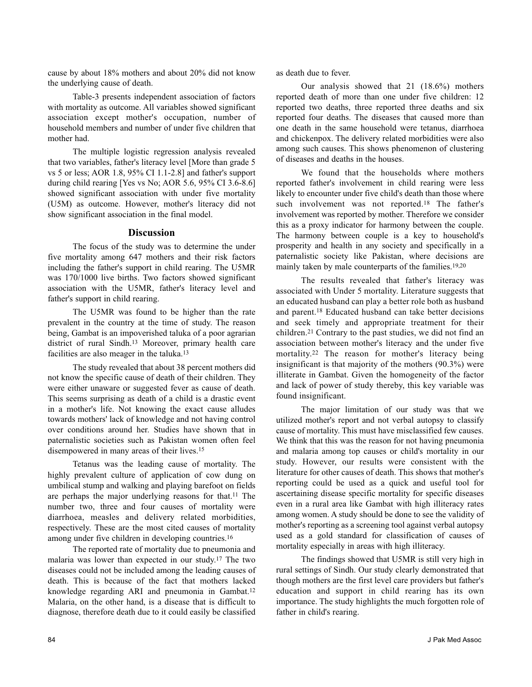cause by about 18% mothers and about 20% did not know the underlying cause of death.

Table-3 presents independent association of factors with mortality as outcome. All variables showed significant association except mother's occupation, number of household members and number of under five children that mother had.

The multiple logistic regression analysis revealed that two variables, father's literacy level [More than grade 5 vs 5 or less; AOR 1.8, 95% CI 1.1-2.8] and father's support during child rearing [Yes vs No; AOR 5.6, 95% CI 3.6-8.6] showed significant association with under five mortality (U5M) as outcome. However, mother's literacy did not show significant association in the final model.

#### **Discussion**

The focus of the study was to determine the under five mortality among 647 mothers and their risk factors including the father's support in child rearing. The U5MR was 170/1000 live births. Two factors showed significant association with the U5MR, father's literacy level and father's support in child rearing.

The U5MR was found to be higher than the rate prevalent in the country at the time of study. The reason being, Gambat is an impoverished taluka of a poor agrarian district of rural Sindh.<sup>13</sup> Moreover, primary health care facilities are also meager in the taluka.<sup>13</sup>

The study revealed that about 38 percent mothers did not know the specific cause of death of their children. They were either unaware or suggested fever as cause of death. This seems surprising as death of a child is a drastic event in a mother's life. Not knowing the exact cause alludes towards mothers' lack of knowledge and not having control over conditions around her. Studies have shown that in paternalistic societies such as Pakistan women often feel disempowered in many areas of their lives.<sup>15</sup>

Tetanus was the leading cause of mortality. The highly prevalent culture of application of cow dung on umbilical stump and walking and playing barefoot on fields are perhaps the major underlying reasons for that.<sup>11</sup> The number two, three and four causes of mortality were diarrhoea, measles and delivery related morbidities, respectively. These are the most cited causes of mortality among under five children in developing countries.<sup>16</sup>

The reported rate of mortality due to pneumonia and malaria was lower than expected in our study.<sup>17</sup> The two diseases could not be included among the leading causes of death. This is because of the fact that mothers lacked knowledge regarding ARI and pneumonia in Gambat.<sup>12</sup> Malaria, on the other hand, is a disease that is difficult to diagnose, therefore death due to it could easily be classified

as death due to fever.

Our analysis showed that 21 (18.6%) mothers reported death of more than one under five children: 12 reported two deaths, three reported three deaths and six reported four deaths. The diseases that caused more than one death in the same household were tetanus, diarrhoea and chickenpox. The delivery related morbidities were also among such causes. This shows phenomenon of clustering of diseases and deaths in the houses.

We found that the households where mothers reported father's involvement in child rearing were less likely to encounter under five child's death than those where such involvement was not reported.<sup>18</sup> The father's involvement was reported by mother. Therefore we consider this as a proxy indicator for harmony between the couple. The harmony between couple is a key to household's prosperity and health in any society and specifically in a paternalistic society like Pakistan, where decisions are mainly taken by male counterparts of the families.19,20

The results revealed that father's literacy was associated with Under 5 mortality. Literature suggests that an educated husband can play a better role both as husband and parent.<sup>18</sup> Educated husband can take better decisions and seek timely and appropriate treatment for their children.<sup>21</sup> Contrary to the past studies, we did not find an association between mother's literacy and the under five mortality.<sup>22</sup> The reason for mother's literacy being insignificant is that majority of the mothers (90.3%) were illiterate in Gambat. Given the homogeneity of the factor and lack of power of study thereby, this key variable was found insignificant.

The major limitation of our study was that we utilized mother's report and not verbal autopsy to classify cause of mortality. This must have misclassified few causes. We think that this was the reason for not having pneumonia and malaria among top causes or child's mortality in our study. However, our results were consistent with the literature for other causes of death. This shows that mother's reporting could be used as a quick and useful tool for ascertaining disease specific mortality for specific diseases even in a rural area like Gambat with high illiteracy rates among women. A study should be done to see the validity of mother's reporting as a screening tool against verbal autopsy used as a gold standard for classification of causes of mortality especially in areas with high illiteracy.

The findings showed that U5MR is still very high in rural settings of Sindh. Our study clearly demonstrated that though mothers are the first level care providers but father's education and support in child rearing has its own importance. The study highlights the much forgotten role of father in child's rearing.